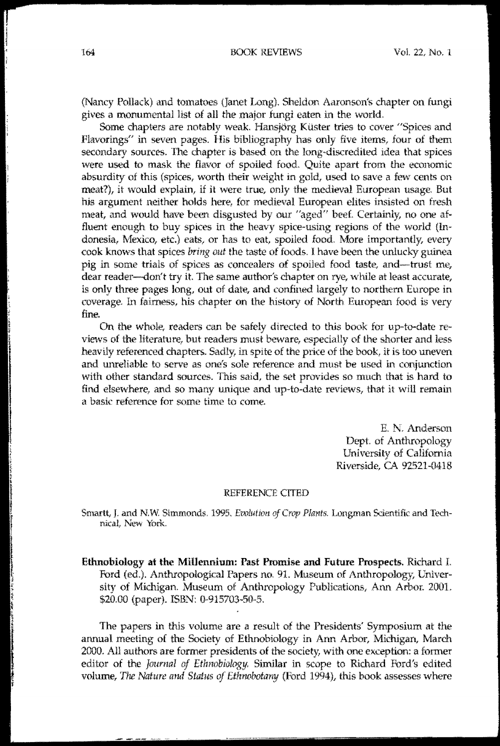(Nancy Pollack) and tomatoes (Janet Long). Sheldon Aaronson's chapter on fungi gives a monumental list of all the major fungi eaten in the world.

Some chapters are notably weak. Hansjörg Küster tries to cover "Spices and Flavorings" in seven pages. His bibliography has only five items, four of them secondary sources. Ihe chapter is based on the long-discredited idea that spices were used to mask the flavor of spoiled food. Quite apart from the economic absurdity of this (spices, worth their weight in gold, used to save a few cents on meat?), it would explain, if it were true, only the medieval European usage. But his argument neither holds here, for medieval European elites insisted on fresh meat, and would have been disgusted by our "aged" beef. Certainly, no one affluent enough. to buy spices in the heavy spice-using regions of the world (Indonesia, Mexico, etc.} eats, or has to eat, spoiled food. More importantly, every cook knows that spices *bring out* the taste of foods. I have been the unlucky guinea pig in some trials of spices as concealers of spoiled food taste, and-trust me, dear reader--don't try it. The same author's chapter on rye, while at least accurate, is only three pages long, out of date, and confined largely to northem Europe in coverage. In fairness, his chapter on the history of North European food is very fine

On the whole, readers can be safely directed to this book for up-to-date reviews of the literature, but readers must beware, especially of the shorter and less heavily referenced chapters. Sadly, in spite of the price of the book, it is too uneven and unreliable to serve as one's sole reference and must be used in conjunction with other standard sources. This said, the set provides so much that is hard to find elsewhere, and so many unique and up-to-date reviews, that it will remain a basic reference for some time to come.

> E. N. Anderson Dept. of Anthropology lJniversity of California Riverside, CA 92521-0418

## REFERENCE CITED

Smartt, J. and N.W. Simmonds. 1995. Ewlution of Crop Plants. Longman Scientific and Technical, New York.

Ethnobiology at the Millennium: Past Promise and Future Prospects, Richard L Ford (ed.). Anthropological Papers no. 91. Museum of Anthropology, Univer· sity of Michigan. Museum of Anthropology Publications, Ann Arbor. 2001. \$20.00 (paper). LSBN: 0-915703~50-5.

The papers in this volume are a result of the Presidents' Symposium at the annual meeting of the Society of Ethnobiology in Ann Arbor, Michigan, March 2000. All authors are former presidents of the society, with one exception: a former editor of the *Journal of Ethnobiology*. Similar in scope to Richard Ford's edited volume, *The Nature and Sfatus of Ethrwbotany* (Ford 1994), this hook assesses where

i<br>E I

I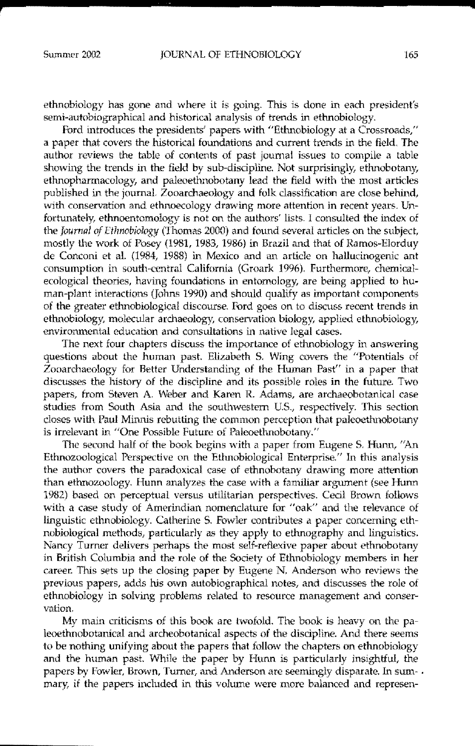ethnobiology has gone and where it is going. This is done in each president's semi-autobiographical and historical analysis of trends in ethnobiology.

Ford introduces the presidents' papers with "Ethnobiology at a Crossroads," a paper that covers the historical foundations and current trends in the field. The author reviews the table of contents of past journal issues to compile a table showing the trends in the field by sub-discipline. Not surprisingly, ethnobotany, etlmopharmacology, and paleoethnobotany lead the field with the most articles published in the journal. Zooarchaeology and folk classification are close behind, with conservation and ethnoecology drawing more attention in recent years. Unfortunately, ethnoentomology is not on the authors' lists. I consulted the index of the *Journal of Ethnobiology* (Thomas *2000)* and found several articles on the subject, mostly the work of Posey (1981, 1983, 1986) in Brazil and that of Ramos-Elorduy de Conconi et aL (1984, 1988) in Mexico and an article on hallucinogenic ant consumption in south-central California (Groark 1996). Furthermore, chemicalecological theories, having foundations in entomology, are being applied to human-plant interactions (Johns 1990) and should qualify as important components of the greater ethnobiological discourse. Ford goes on to discuss recent trends in ethnobiology, molecular archaeology, conservation biology, applied ethnobiology, enviromnental education and consultations in native legal cases.

The next four chapters discuss the importance of ethnobiology in answering questions about the homan past. Elizabeth S. Wing covers the "Potentials of Zooarchaeology for Better Understanding of the Human Past" in a paper that discusses the history of the discipline and its possible roles in the future. Two papers, from Steven A. Weber and Karen R. Adams, are archaeobotanical case studies from South Asia and the southwestern US., respectively. This section closes with Paul Minnis rebutting the common perception that paleoethnobotany is irrelevant in "One Possible Future of Paleoethnobotany:'

The second half of the book begins with a paper from Eugene S. Hunn, "An Ethnozoological Perspective on the Ethnobiological Enterprise." In this analysis the author covers the paradoxical case of ethnobotany draWing more attention than ethnozoology. Hunn analyzes the case with a familiar argument (see Hunn 1982) based on perceptual versus utilitarian perspectives. Cecil Brown follows with a case study of Amerindian nomenclature for "oak" and the relevance of linguistic ethnobiology. Catherine S. Fowler contributes a paper concerning ethnobiological methods, particularly as they apply to ethnography and linguistics. Nancy Turner delivers perhaps the most self-reflexive paper about ethnobotany in British Columbia and the role of the Society of Ethnobiology members in her career. This sets up the closing paper by Eugene N. Anderson who reviews the previous papers, adds his own autobiographical notes, and discusses the role of ethnobiology in solving problems related to resource management and conser- **\:ation.**

My main eriticisms of this book are twofold. The book is heavy on the paleoethnobotanical and archeobotanical aspects of the discipline. And there seems to be nothing unifying about the papers that follow the chapters on ethnobiology and the human past. While the paper by Hunn is particularly insightful, the papers by Fowler, Brown, Turner, and Anderson are seemingly disparate. In sum- . mary, if the papers included in this volume were more balanced and represen**4**